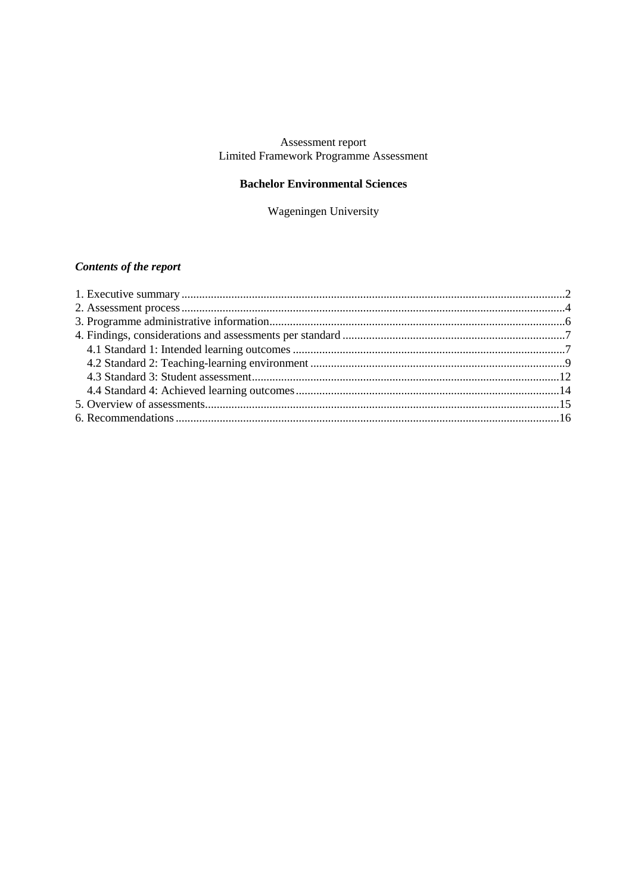# Assessment report<br>Limited Framework Programme Assessment

### **Bachelor Environmental Sciences**

Wageningen University

## Contents of the report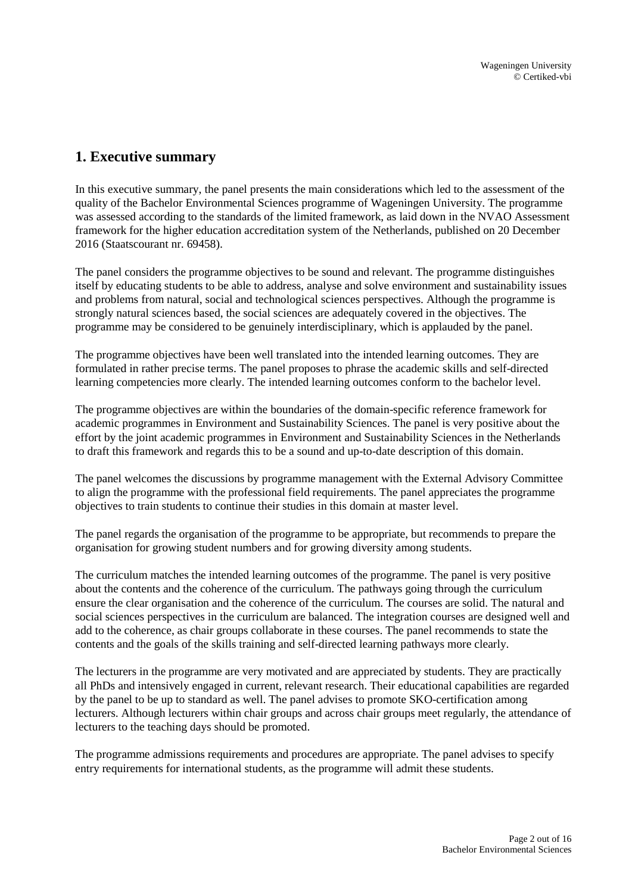## <span id="page-1-0"></span>**1. Executive summary**

In this executive summary, the panel presents the main considerations which led to the assessment of the quality of the Bachelor Environmental Sciences programme of Wageningen University. The programme was assessed according to the standards of the limited framework, as laid down in the NVAO Assessment framework for the higher education accreditation system of the Netherlands, published on 20 December 2016 (Staatscourant nr. 69458).

The panel considers the programme objectives to be sound and relevant. The programme distinguishes itself by educating students to be able to address, analyse and solve environment and sustainability issues and problems from natural, social and technological sciences perspectives. Although the programme is strongly natural sciences based, the social sciences are adequately covered in the objectives. The programme may be considered to be genuinely interdisciplinary, which is applauded by the panel.

The programme objectives have been well translated into the intended learning outcomes. They are formulated in rather precise terms. The panel proposes to phrase the academic skills and self-directed learning competencies more clearly. The intended learning outcomes conform to the bachelor level.

The programme objectives are within the boundaries of the domain-specific reference framework for academic programmes in Environment and Sustainability Sciences. The panel is very positive about the effort by the joint academic programmes in Environment and Sustainability Sciences in the Netherlands to draft this framework and regards this to be a sound and up-to-date description of this domain.

The panel welcomes the discussions by programme management with the External Advisory Committee to align the programme with the professional field requirements. The panel appreciates the programme objectives to train students to continue their studies in this domain at master level.

The panel regards the organisation of the programme to be appropriate, but recommends to prepare the organisation for growing student numbers and for growing diversity among students.

The curriculum matches the intended learning outcomes of the programme. The panel is very positive about the contents and the coherence of the curriculum. The pathways going through the curriculum ensure the clear organisation and the coherence of the curriculum. The courses are solid. The natural and social sciences perspectives in the curriculum are balanced. The integration courses are designed well and add to the coherence, as chair groups collaborate in these courses. The panel recommends to state the contents and the goals of the skills training and self-directed learning pathways more clearly.

The lecturers in the programme are very motivated and are appreciated by students. They are practically all PhDs and intensively engaged in current, relevant research. Their educational capabilities are regarded by the panel to be up to standard as well. The panel advises to promote SKO-certification among lecturers. Although lecturers within chair groups and across chair groups meet regularly, the attendance of lecturers to the teaching days should be promoted.

The programme admissions requirements and procedures are appropriate. The panel advises to specify entry requirements for international students, as the programme will admit these students.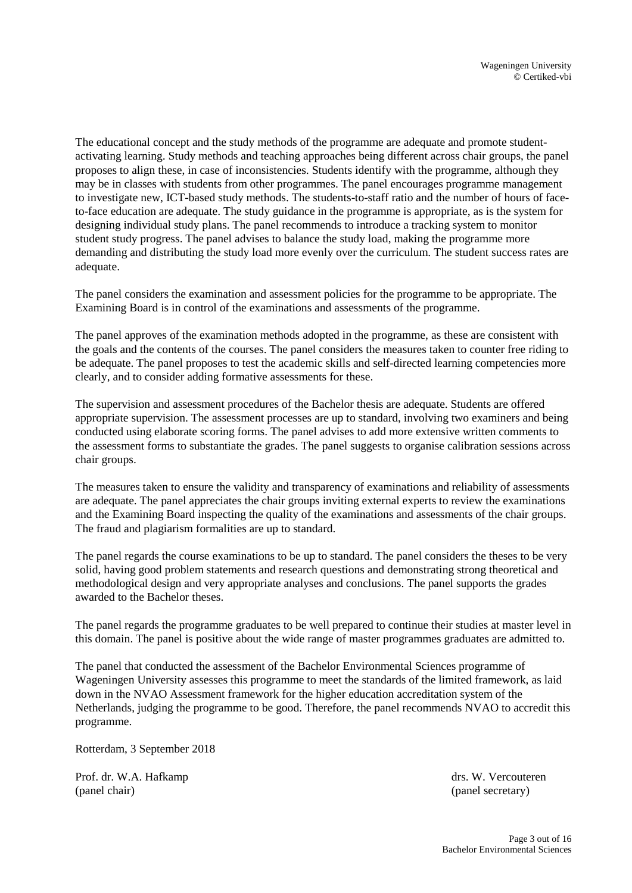The educational concept and the study methods of the programme are adequate and promote studentactivating learning. Study methods and teaching approaches being different across chair groups, the panel proposes to align these, in case of inconsistencies. Students identify with the programme, although they may be in classes with students from other programmes. The panel encourages programme management to investigate new, ICT-based study methods. The students-to-staff ratio and the number of hours of faceto-face education are adequate. The study guidance in the programme is appropriate, as is the system for designing individual study plans. The panel recommends to introduce a tracking system to monitor student study progress. The panel advises to balance the study load, making the programme more demanding and distributing the study load more evenly over the curriculum. The student success rates are adequate.

The panel considers the examination and assessment policies for the programme to be appropriate. The Examining Board is in control of the examinations and assessments of the programme.

The panel approves of the examination methods adopted in the programme, as these are consistent with the goals and the contents of the courses. The panel considers the measures taken to counter free riding to be adequate. The panel proposes to test the academic skills and self-directed learning competencies more clearly, and to consider adding formative assessments for these.

The supervision and assessment procedures of the Bachelor thesis are adequate. Students are offered appropriate supervision. The assessment processes are up to standard, involving two examiners and being conducted using elaborate scoring forms. The panel advises to add more extensive written comments to the assessment forms to substantiate the grades. The panel suggests to organise calibration sessions across chair groups.

The measures taken to ensure the validity and transparency of examinations and reliability of assessments are adequate. The panel appreciates the chair groups inviting external experts to review the examinations and the Examining Board inspecting the quality of the examinations and assessments of the chair groups. The fraud and plagiarism formalities are up to standard.

The panel regards the course examinations to be up to standard. The panel considers the theses to be very solid, having good problem statements and research questions and demonstrating strong theoretical and methodological design and very appropriate analyses and conclusions. The panel supports the grades awarded to the Bachelor theses.

The panel regards the programme graduates to be well prepared to continue their studies at master level in this domain. The panel is positive about the wide range of master programmes graduates are admitted to.

The panel that conducted the assessment of the Bachelor Environmental Sciences programme of Wageningen University assesses this programme to meet the standards of the limited framework, as laid down in the NVAO Assessment framework for the higher education accreditation system of the Netherlands, judging the programme to be good. Therefore, the panel recommends NVAO to accredit this programme.

Rotterdam, 3 September 2018

Prof. dr. W.A. Hafkamp drs. W. Vercouteren (panel chair) (panel secretary) (panel secretary)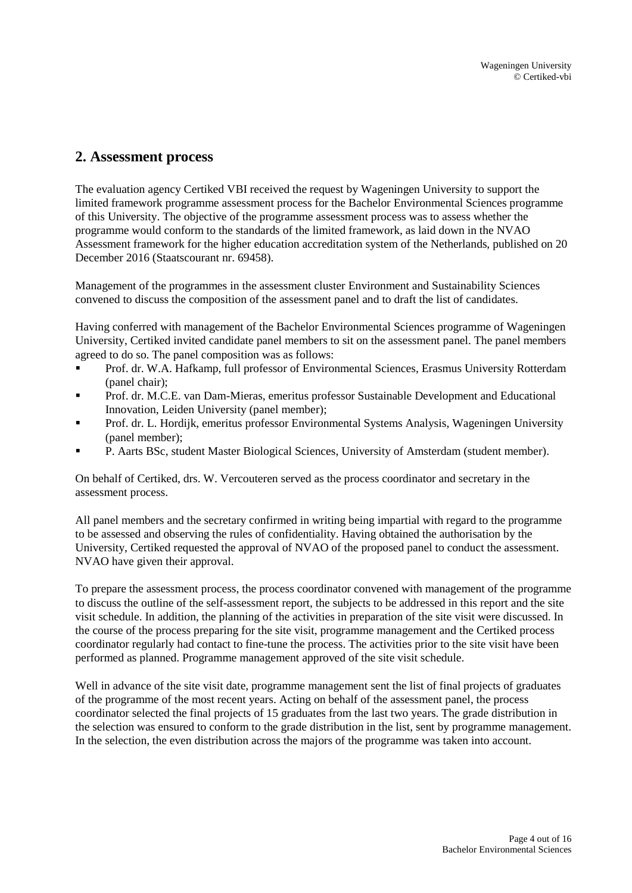## <span id="page-3-0"></span>**2. Assessment process**

The evaluation agency Certiked VBI received the request by Wageningen University to support the limited framework programme assessment process for the Bachelor Environmental Sciences programme of this University. The objective of the programme assessment process was to assess whether the programme would conform to the standards of the limited framework, as laid down in the NVAO Assessment framework for the higher education accreditation system of the Netherlands, published on 20 December 2016 (Staatscourant nr. 69458).

Management of the programmes in the assessment cluster Environment and Sustainability Sciences convened to discuss the composition of the assessment panel and to draft the list of candidates.

Having conferred with management of the Bachelor Environmental Sciences programme of Wageningen University, Certiked invited candidate panel members to sit on the assessment panel. The panel members agreed to do so. The panel composition was as follows:

- Prof. dr. W.A. Hafkamp, full professor of Environmental Sciences, Erasmus University Rotterdam (panel chair);
- Prof. dr. M.C.E. van Dam-Mieras, emeritus professor Sustainable Development and Educational Innovation, Leiden University (panel member);
- Prof. dr. L. Hordijk, emeritus professor Environmental Systems Analysis, Wageningen University (panel member);
- P. Aarts BSc, student Master Biological Sciences, University of Amsterdam (student member).

On behalf of Certiked, drs. W. Vercouteren served as the process coordinator and secretary in the assessment process.

All panel members and the secretary confirmed in writing being impartial with regard to the programme to be assessed and observing the rules of confidentiality. Having obtained the authorisation by the University, Certiked requested the approval of NVAO of the proposed panel to conduct the assessment. NVAO have given their approval.

To prepare the assessment process, the process coordinator convened with management of the programme to discuss the outline of the self-assessment report, the subjects to be addressed in this report and the site visit schedule. In addition, the planning of the activities in preparation of the site visit were discussed. In the course of the process preparing for the site visit, programme management and the Certiked process coordinator regularly had contact to fine-tune the process. The activities prior to the site visit have been performed as planned. Programme management approved of the site visit schedule.

Well in advance of the site visit date, programme management sent the list of final projects of graduates of the programme of the most recent years. Acting on behalf of the assessment panel, the process coordinator selected the final projects of 15 graduates from the last two years. The grade distribution in the selection was ensured to conform to the grade distribution in the list, sent by programme management. In the selection, the even distribution across the majors of the programme was taken into account.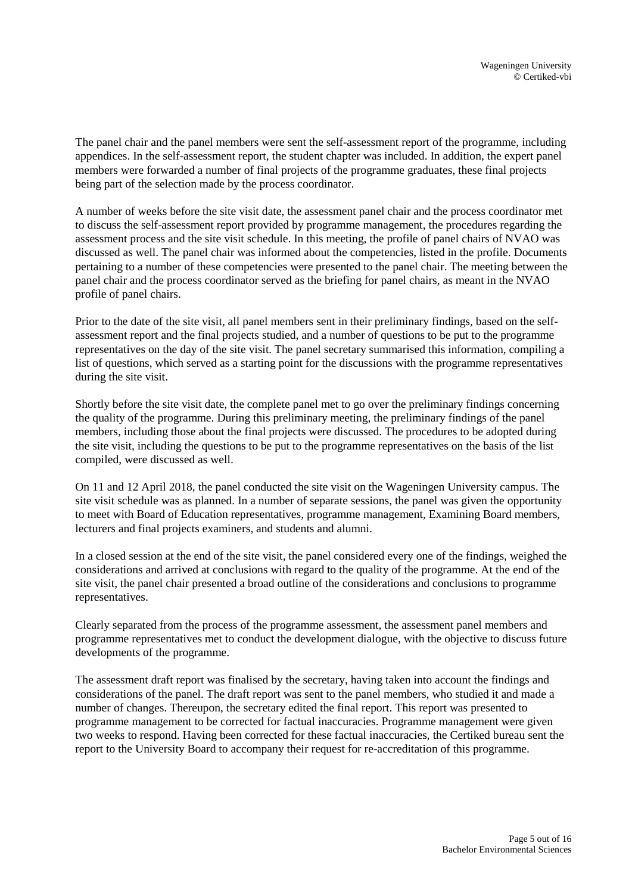The panel chair and the panel members were sent the self-assessment report of the programme, including appendices. In the self-assessment report, the student chapter was included. In addition, the expert panel members were forwarded a number of final projects of the programme graduates, these final projects being part of the selection made by the process coordinator.

A number of weeks before the site visit date, the assessment panel chair and the process coordinator met to discuss the self-assessment report provided by programme management, the procedures regarding the assessment process and the site visit schedule. In this meeting, the profile of panel chairs of NVAO was discussed as well. The panel chair was informed about the competencies, listed in the profile. Documents pertaining to a number of these competencies were presented to the panel chair. The meeting between the panel chair and the process coordinator served as the briefing for panel chairs, as meant in the NVAO profile of panel chairs.

Prior to the date of the site visit, all panel members sent in their preliminary findings, based on the selfassessment report and the final projects studied, and a number of questions to be put to the programme representatives on the day of the site visit. The panel secretary summarised this information, compiling a list of questions, which served as a starting point for the discussions with the programme representatives during the site visit.

Shortly before the site visit date, the complete panel met to go over the preliminary findings concerning the quality of the programme. During this preliminary meeting, the preliminary findings of the panel members, including those about the final projects were discussed. The procedures to be adopted during the site visit, including the questions to be put to the programme representatives on the basis of the list compiled, were discussed as well.

On 11 and 12 April 2018, the panel conducted the site visit on the Wageningen University campus. The site visit schedule was as planned. In a number of separate sessions, the panel was given the opportunity to meet with Board of Education representatives, programme management, Examining Board members, lecturers and final projects examiners, and students and alumni.

In a closed session at the end of the site visit, the panel considered every one of the findings, weighed the considerations and arrived at conclusions with regard to the quality of the programme. At the end of the site visit, the panel chair presented a broad outline of the considerations and conclusions to programme representatives.

Clearly separated from the process of the programme assessment, the assessment panel members and programme representatives met to conduct the development dialogue, with the objective to discuss future developments of the programme.

The assessment draft report was finalised by the secretary, having taken into account the findings and considerations of the panel. The draft report was sent to the panel members, who studied it and made a number of changes. Thereupon, the secretary edited the final report. This report was presented to programme management to be corrected for factual inaccuracies. Programme management were given two weeks to respond. Having been corrected for these factual inaccuracies, the Certiked bureau sent the report to the University Board to accompany their request for re-accreditation of this programme.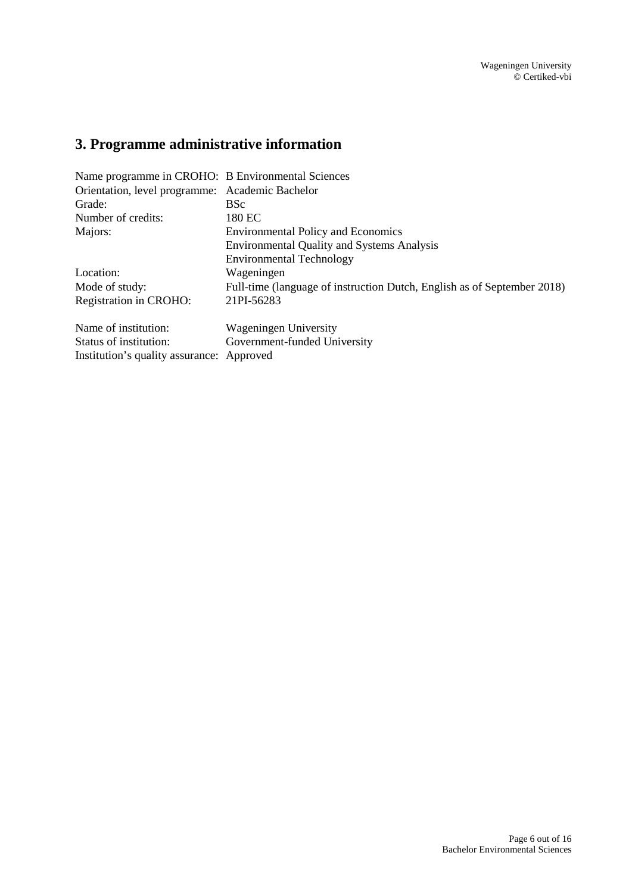# <span id="page-5-0"></span>**3. Programme administrative information**

| Name programme in CROHO: B Environmental Sciences |                                                                         |  |
|---------------------------------------------------|-------------------------------------------------------------------------|--|
| Orientation, level programme: Academic Bachelor   |                                                                         |  |
| Grade:                                            | <b>BSc</b>                                                              |  |
| Number of credits:                                | 180 EC                                                                  |  |
| Majors:                                           | <b>Environmental Policy and Economics</b>                               |  |
|                                                   | <b>Environmental Quality and Systems Analysis</b>                       |  |
|                                                   | <b>Environmental Technology</b>                                         |  |
| Location:                                         | Wageningen                                                              |  |
| Mode of study:                                    | Full-time (language of instruction Dutch, English as of September 2018) |  |
| Registration in CROHO:                            | 21PI-56283                                                              |  |
| Name of institution:                              | Wageningen University                                                   |  |
| Status of institution:                            | Government-funded University                                            |  |
| Institution's quality assurance: Approved         |                                                                         |  |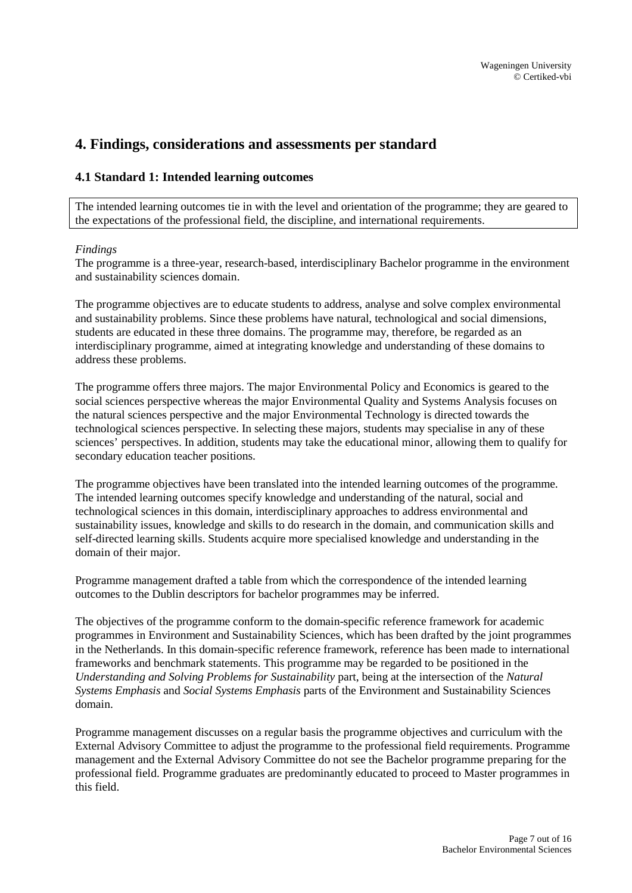## <span id="page-6-0"></span>**4. Findings, considerations and assessments per standard**

#### <span id="page-6-1"></span>**4.1 Standard 1: Intended learning outcomes**

The intended learning outcomes tie in with the level and orientation of the programme; they are geared to the expectations of the professional field, the discipline, and international requirements.

#### *Findings*

The programme is a three-year, research-based, interdisciplinary Bachelor programme in the environment and sustainability sciences domain.

The programme objectives are to educate students to address, analyse and solve complex environmental and sustainability problems. Since these problems have natural, technological and social dimensions, students are educated in these three domains. The programme may, therefore, be regarded as an interdisciplinary programme, aimed at integrating knowledge and understanding of these domains to address these problems.

The programme offers three majors. The major Environmental Policy and Economics is geared to the social sciences perspective whereas the major Environmental Quality and Systems Analysis focuses on the natural sciences perspective and the major Environmental Technology is directed towards the technological sciences perspective. In selecting these majors, students may specialise in any of these sciences' perspectives. In addition, students may take the educational minor, allowing them to qualify for secondary education teacher positions.

The programme objectives have been translated into the intended learning outcomes of the programme. The intended learning outcomes specify knowledge and understanding of the natural, social and technological sciences in this domain, interdisciplinary approaches to address environmental and sustainability issues, knowledge and skills to do research in the domain, and communication skills and self-directed learning skills. Students acquire more specialised knowledge and understanding in the domain of their major.

Programme management drafted a table from which the correspondence of the intended learning outcomes to the Dublin descriptors for bachelor programmes may be inferred.

The objectives of the programme conform to the domain-specific reference framework for academic programmes in Environment and Sustainability Sciences, which has been drafted by the joint programmes in the Netherlands. In this domain-specific reference framework, reference has been made to international frameworks and benchmark statements. This programme may be regarded to be positioned in the *Understanding and Solving Problems for Sustainability* part, being at the intersection of the *Natural Systems Emphasis* and *Social Systems Emphasis* parts of the Environment and Sustainability Sciences domain.

Programme management discusses on a regular basis the programme objectives and curriculum with the External Advisory Committee to adjust the programme to the professional field requirements. Programme management and the External Advisory Committee do not see the Bachelor programme preparing for the professional field. Programme graduates are predominantly educated to proceed to Master programmes in this field.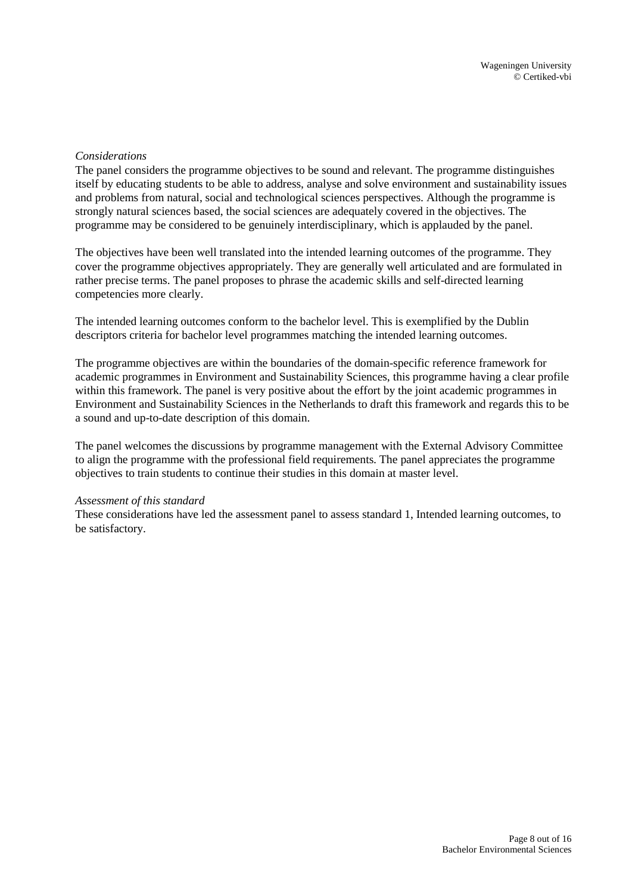#### *Considerations*

The panel considers the programme objectives to be sound and relevant. The programme distinguishes itself by educating students to be able to address, analyse and solve environment and sustainability issues and problems from natural, social and technological sciences perspectives. Although the programme is strongly natural sciences based, the social sciences are adequately covered in the objectives. The programme may be considered to be genuinely interdisciplinary, which is applauded by the panel.

The objectives have been well translated into the intended learning outcomes of the programme. They cover the programme objectives appropriately. They are generally well articulated and are formulated in rather precise terms. The panel proposes to phrase the academic skills and self-directed learning competencies more clearly.

The intended learning outcomes conform to the bachelor level. This is exemplified by the Dublin descriptors criteria for bachelor level programmes matching the intended learning outcomes.

The programme objectives are within the boundaries of the domain-specific reference framework for academic programmes in Environment and Sustainability Sciences, this programme having a clear profile within this framework. The panel is very positive about the effort by the joint academic programmes in Environment and Sustainability Sciences in the Netherlands to draft this framework and regards this to be a sound and up-to-date description of this domain.

The panel welcomes the discussions by programme management with the External Advisory Committee to align the programme with the professional field requirements. The panel appreciates the programme objectives to train students to continue their studies in this domain at master level.

#### *Assessment of this standard*

These considerations have led the assessment panel to assess standard 1, Intended learning outcomes, to be satisfactory.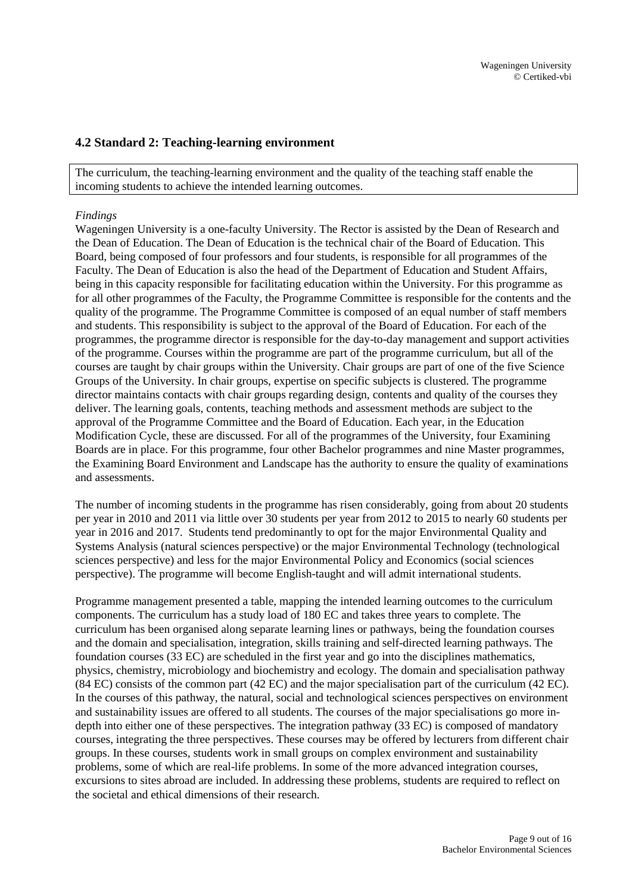#### <span id="page-8-0"></span>**4.2 Standard 2: Teaching-learning environment**

The curriculum, the teaching-learning environment and the quality of the teaching staff enable the incoming students to achieve the intended learning outcomes.

#### *Findings*

Wageningen University is a one-faculty University. The Rector is assisted by the Dean of Research and the Dean of Education. The Dean of Education is the technical chair of the Board of Education. This Board, being composed of four professors and four students, is responsible for all programmes of the Faculty. The Dean of Education is also the head of the Department of Education and Student Affairs, being in this capacity responsible for facilitating education within the University. For this programme as for all other programmes of the Faculty, the Programme Committee is responsible for the contents and the quality of the programme. The Programme Committee is composed of an equal number of staff members and students. This responsibility is subject to the approval of the Board of Education. For each of the programmes, the programme director is responsible for the day-to-day management and support activities of the programme. Courses within the programme are part of the programme curriculum, but all of the courses are taught by chair groups within the University. Chair groups are part of one of the five Science Groups of the University. In chair groups, expertise on specific subjects is clustered. The programme director maintains contacts with chair groups regarding design, contents and quality of the courses they deliver. The learning goals, contents, teaching methods and assessment methods are subject to the approval of the Programme Committee and the Board of Education. Each year, in the Education Modification Cycle, these are discussed. For all of the programmes of the University, four Examining Boards are in place. For this programme, four other Bachelor programmes and nine Master programmes, the Examining Board Environment and Landscape has the authority to ensure the quality of examinations and assessments.

The number of incoming students in the programme has risen considerably, going from about 20 students per year in 2010 and 2011 via little over 30 students per year from 2012 to 2015 to nearly 60 students per year in 2016 and 2017. Students tend predominantly to opt for the major Environmental Quality and Systems Analysis (natural sciences perspective) or the major Environmental Technology (technological sciences perspective) and less for the major Environmental Policy and Economics (social sciences perspective). The programme will become English-taught and will admit international students.

Programme management presented a table, mapping the intended learning outcomes to the curriculum components. The curriculum has a study load of 180 EC and takes three years to complete. The curriculum has been organised along separate learning lines or pathways, being the foundation courses and the domain and specialisation, integration, skills training and self-directed learning pathways. The foundation courses (33 EC) are scheduled in the first year and go into the disciplines mathematics, physics, chemistry, microbiology and biochemistry and ecology. The domain and specialisation pathway (84 EC) consists of the common part (42 EC) and the major specialisation part of the curriculum (42 EC). In the courses of this pathway, the natural, social and technological sciences perspectives on environment and sustainability issues are offered to all students. The courses of the major specialisations go more indepth into either one of these perspectives. The integration pathway (33 EC) is composed of mandatory courses, integrating the three perspectives. These courses may be offered by lecturers from different chair groups. In these courses, students work in small groups on complex environment and sustainability problems, some of which are real-life problems. In some of the more advanced integration courses, excursions to sites abroad are included. In addressing these problems, students are required to reflect on the societal and ethical dimensions of their research.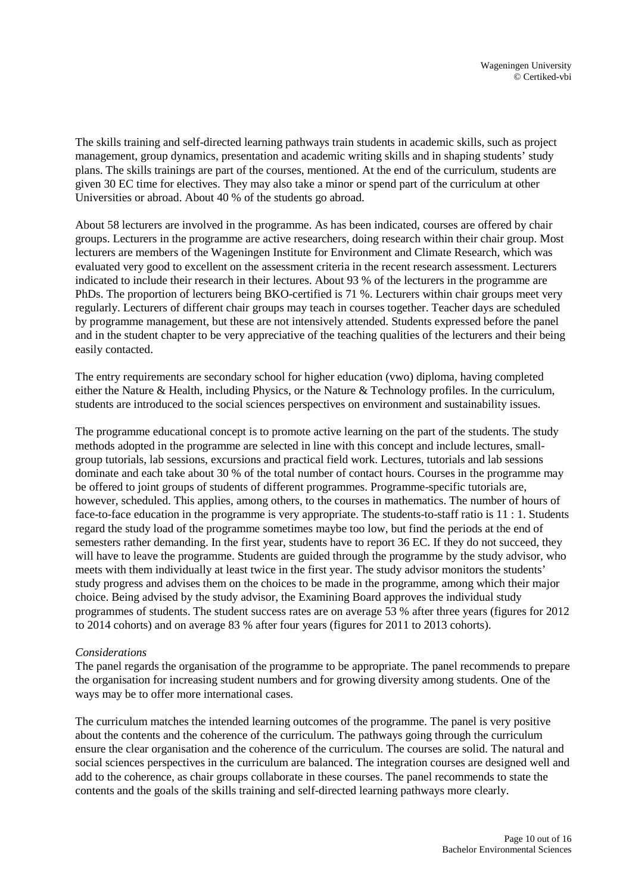The skills training and self-directed learning pathways train students in academic skills, such as project management, group dynamics, presentation and academic writing skills and in shaping students' study plans. The skills trainings are part of the courses, mentioned. At the end of the curriculum, students are given 30 EC time for electives. They may also take a minor or spend part of the curriculum at other Universities or abroad. About 40 % of the students go abroad.

About 58 lecturers are involved in the programme. As has been indicated, courses are offered by chair groups. Lecturers in the programme are active researchers, doing research within their chair group. Most lecturers are members of the Wageningen Institute for Environment and Climate Research, which was evaluated very good to excellent on the assessment criteria in the recent research assessment. Lecturers indicated to include their research in their lectures. About 93 % of the lecturers in the programme are PhDs. The proportion of lecturers being BKO-certified is 71 %. Lecturers within chair groups meet very regularly. Lecturers of different chair groups may teach in courses together. Teacher days are scheduled by programme management, but these are not intensively attended. Students expressed before the panel and in the student chapter to be very appreciative of the teaching qualities of the lecturers and their being easily contacted.

The entry requirements are secondary school for higher education (vwo) diploma, having completed either the Nature & Health, including Physics, or the Nature & Technology profiles. In the curriculum, students are introduced to the social sciences perspectives on environment and sustainability issues.

The programme educational concept is to promote active learning on the part of the students. The study methods adopted in the programme are selected in line with this concept and include lectures, smallgroup tutorials, lab sessions, excursions and practical field work. Lectures, tutorials and lab sessions dominate and each take about 30 % of the total number of contact hours. Courses in the programme may be offered to joint groups of students of different programmes. Programme-specific tutorials are, however, scheduled. This applies, among others, to the courses in mathematics. The number of hours of face-to-face education in the programme is very appropriate. The students-to-staff ratio is 11 : 1. Students regard the study load of the programme sometimes maybe too low, but find the periods at the end of semesters rather demanding. In the first year, students have to report 36 EC. If they do not succeed, they will have to leave the programme. Students are guided through the programme by the study advisor, who meets with them individually at least twice in the first year. The study advisor monitors the students' study progress and advises them on the choices to be made in the programme, among which their major choice. Being advised by the study advisor, the Examining Board approves the individual study programmes of students. The student success rates are on average 53 % after three years (figures for 2012 to 2014 cohorts) and on average 83 % after four years (figures for 2011 to 2013 cohorts).

#### *Considerations*

The panel regards the organisation of the programme to be appropriate. The panel recommends to prepare the organisation for increasing student numbers and for growing diversity among students. One of the ways may be to offer more international cases.

The curriculum matches the intended learning outcomes of the programme. The panel is very positive about the contents and the coherence of the curriculum. The pathways going through the curriculum ensure the clear organisation and the coherence of the curriculum. The courses are solid. The natural and social sciences perspectives in the curriculum are balanced. The integration courses are designed well and add to the coherence, as chair groups collaborate in these courses. The panel recommends to state the contents and the goals of the skills training and self-directed learning pathways more clearly.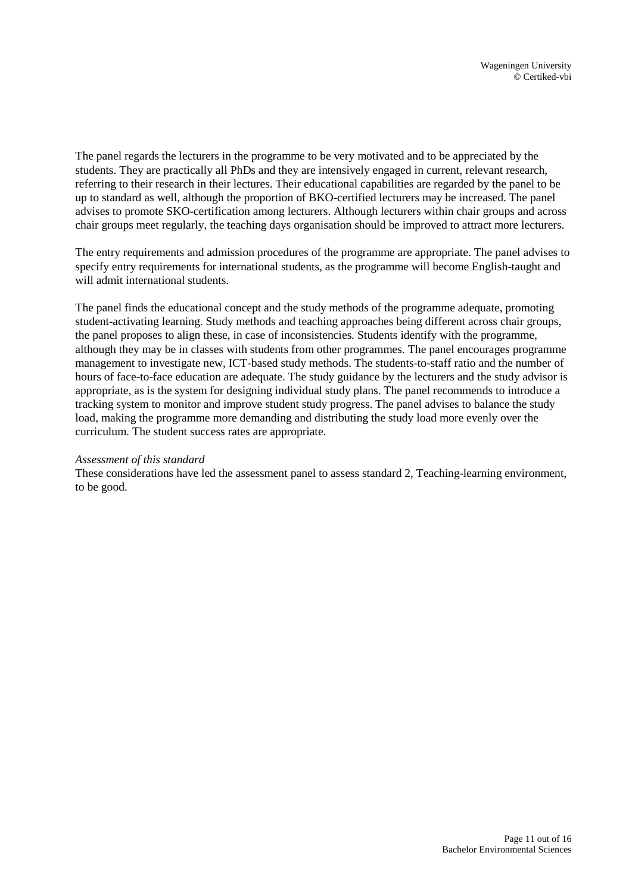The panel regards the lecturers in the programme to be very motivated and to be appreciated by the students. They are practically all PhDs and they are intensively engaged in current, relevant research, referring to their research in their lectures. Their educational capabilities are regarded by the panel to be up to standard as well, although the proportion of BKO-certified lecturers may be increased. The panel advises to promote SKO-certification among lecturers. Although lecturers within chair groups and across chair groups meet regularly, the teaching days organisation should be improved to attract more lecturers.

The entry requirements and admission procedures of the programme are appropriate. The panel advises to specify entry requirements for international students, as the programme will become English-taught and will admit international students.

The panel finds the educational concept and the study methods of the programme adequate, promoting student-activating learning. Study methods and teaching approaches being different across chair groups, the panel proposes to align these, in case of inconsistencies. Students identify with the programme, although they may be in classes with students from other programmes. The panel encourages programme management to investigate new, ICT-based study methods. The students-to-staff ratio and the number of hours of face-to-face education are adequate. The study guidance by the lecturers and the study advisor is appropriate, as is the system for designing individual study plans. The panel recommends to introduce a tracking system to monitor and improve student study progress. The panel advises to balance the study load, making the programme more demanding and distributing the study load more evenly over the curriculum. The student success rates are appropriate.

#### *Assessment of this standard*

These considerations have led the assessment panel to assess standard 2, Teaching-learning environment, to be good.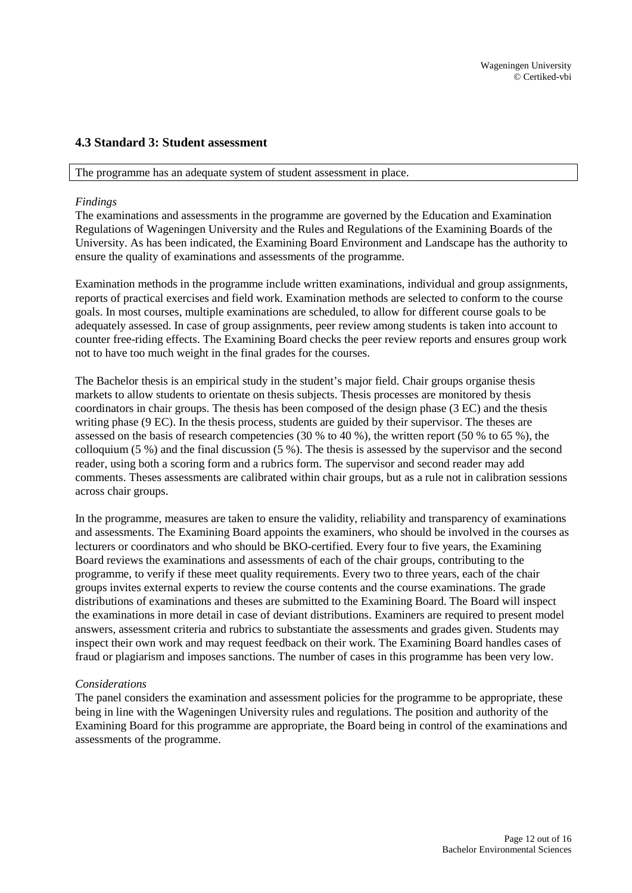#### <span id="page-11-0"></span>**4.3 Standard 3: Student assessment**

#### The programme has an adequate system of student assessment in place.

#### *Findings*

The examinations and assessments in the programme are governed by the Education and Examination Regulations of Wageningen University and the Rules and Regulations of the Examining Boards of the University. As has been indicated, the Examining Board Environment and Landscape has the authority to ensure the quality of examinations and assessments of the programme.

Examination methods in the programme include written examinations, individual and group assignments, reports of practical exercises and field work. Examination methods are selected to conform to the course goals. In most courses, multiple examinations are scheduled, to allow for different course goals to be adequately assessed. In case of group assignments, peer review among students is taken into account to counter free-riding effects. The Examining Board checks the peer review reports and ensures group work not to have too much weight in the final grades for the courses.

The Bachelor thesis is an empirical study in the student's major field. Chair groups organise thesis markets to allow students to orientate on thesis subjects. Thesis processes are monitored by thesis coordinators in chair groups. The thesis has been composed of the design phase (3 EC) and the thesis writing phase (9 EC). In the thesis process, students are guided by their supervisor. The theses are assessed on the basis of research competencies (30 % to 40 %), the written report (50 % to 65 %), the colloquium (5 %) and the final discussion (5 %). The thesis is assessed by the supervisor and the second reader, using both a scoring form and a rubrics form. The supervisor and second reader may add comments. Theses assessments are calibrated within chair groups, but as a rule not in calibration sessions across chair groups.

In the programme, measures are taken to ensure the validity, reliability and transparency of examinations and assessments. The Examining Board appoints the examiners, who should be involved in the courses as lecturers or coordinators and who should be BKO-certified. Every four to five years, the Examining Board reviews the examinations and assessments of each of the chair groups, contributing to the programme, to verify if these meet quality requirements. Every two to three years, each of the chair groups invites external experts to review the course contents and the course examinations. The grade distributions of examinations and theses are submitted to the Examining Board. The Board will inspect the examinations in more detail in case of deviant distributions. Examiners are required to present model answers, assessment criteria and rubrics to substantiate the assessments and grades given. Students may inspect their own work and may request feedback on their work. The Examining Board handles cases of fraud or plagiarism and imposes sanctions. The number of cases in this programme has been very low.

#### *Considerations*

The panel considers the examination and assessment policies for the programme to be appropriate, these being in line with the Wageningen University rules and regulations. The position and authority of the Examining Board for this programme are appropriate, the Board being in control of the examinations and assessments of the programme.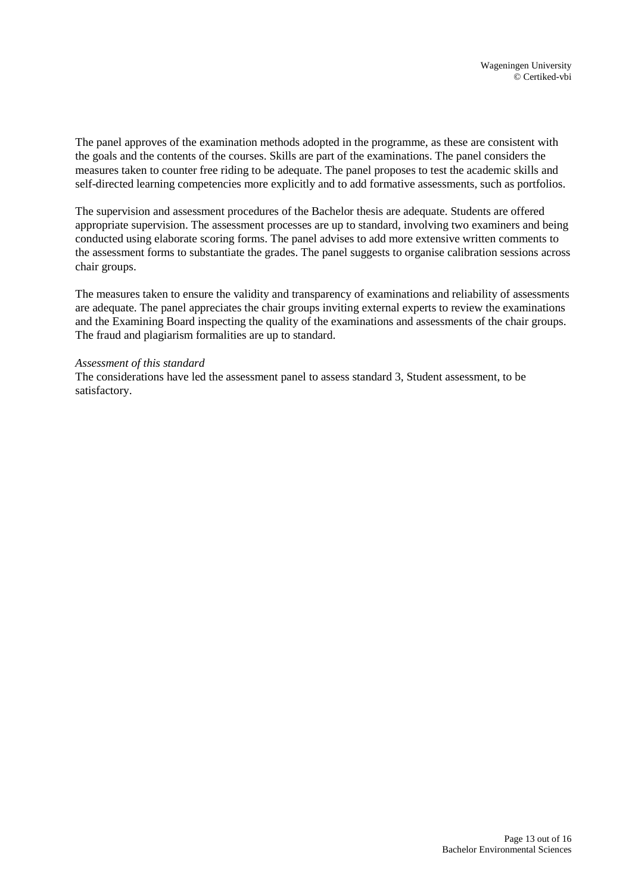The panel approves of the examination methods adopted in the programme, as these are consistent with the goals and the contents of the courses. Skills are part of the examinations. The panel considers the measures taken to counter free riding to be adequate. The panel proposes to test the academic skills and self-directed learning competencies more explicitly and to add formative assessments, such as portfolios.

The supervision and assessment procedures of the Bachelor thesis are adequate. Students are offered appropriate supervision. The assessment processes are up to standard, involving two examiners and being conducted using elaborate scoring forms. The panel advises to add more extensive written comments to the assessment forms to substantiate the grades. The panel suggests to organise calibration sessions across chair groups.

The measures taken to ensure the validity and transparency of examinations and reliability of assessments are adequate. The panel appreciates the chair groups inviting external experts to review the examinations and the Examining Board inspecting the quality of the examinations and assessments of the chair groups. The fraud and plagiarism formalities are up to standard.

#### *Assessment of this standard*

The considerations have led the assessment panel to assess standard 3, Student assessment, to be satisfactory.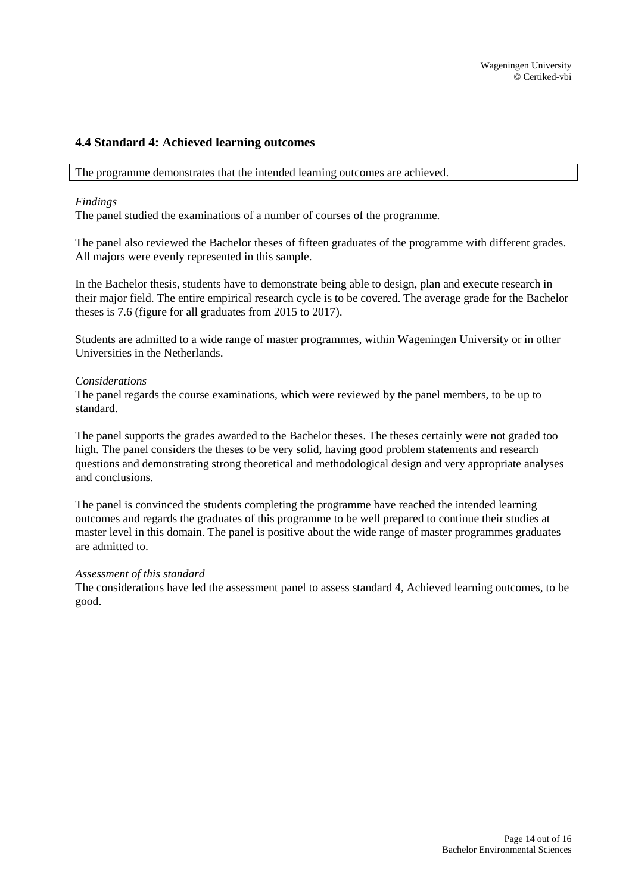#### <span id="page-13-0"></span>**4.4 Standard 4: Achieved learning outcomes**

The programme demonstrates that the intended learning outcomes are achieved.

#### *Findings*

The panel studied the examinations of a number of courses of the programme.

The panel also reviewed the Bachelor theses of fifteen graduates of the programme with different grades. All majors were evenly represented in this sample.

In the Bachelor thesis, students have to demonstrate being able to design, plan and execute research in their major field. The entire empirical research cycle is to be covered. The average grade for the Bachelor theses is 7.6 (figure for all graduates from 2015 to 2017).

Students are admitted to a wide range of master programmes, within Wageningen University or in other Universities in the Netherlands.

#### *Considerations*

The panel regards the course examinations, which were reviewed by the panel members, to be up to standard.

The panel supports the grades awarded to the Bachelor theses. The theses certainly were not graded too high. The panel considers the theses to be very solid, having good problem statements and research questions and demonstrating strong theoretical and methodological design and very appropriate analyses and conclusions.

The panel is convinced the students completing the programme have reached the intended learning outcomes and regards the graduates of this programme to be well prepared to continue their studies at master level in this domain. The panel is positive about the wide range of master programmes graduates are admitted to.

#### *Assessment of this standard*

The considerations have led the assessment panel to assess standard 4, Achieved learning outcomes, to be good.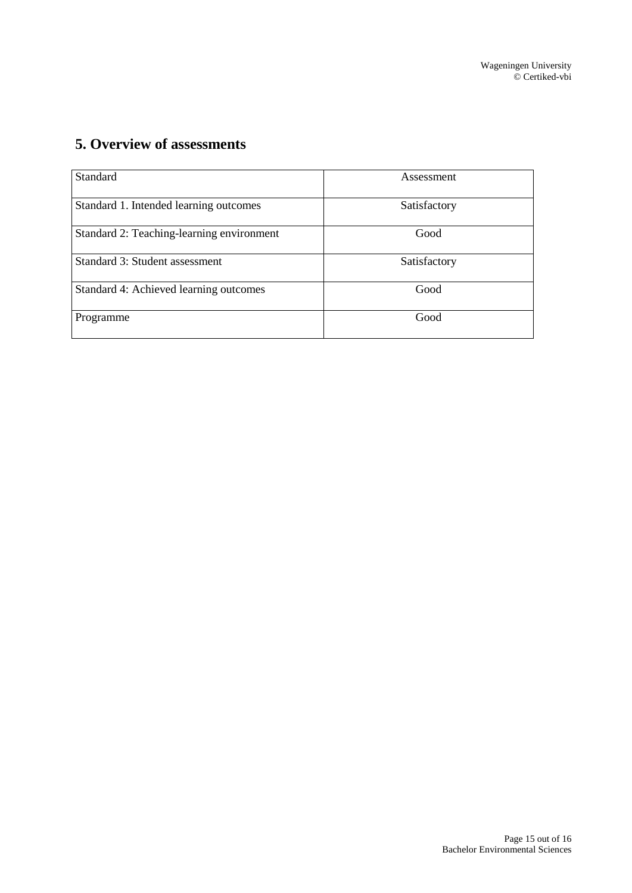# <span id="page-14-0"></span>**5. Overview of assessments**

| Standard                                  | Assessment   |
|-------------------------------------------|--------------|
| Standard 1. Intended learning outcomes    | Satisfactory |
| Standard 2: Teaching-learning environment | Good         |
| Standard 3: Student assessment            | Satisfactory |
| Standard 4: Achieved learning outcomes    | Good         |
| Programme                                 | Good         |